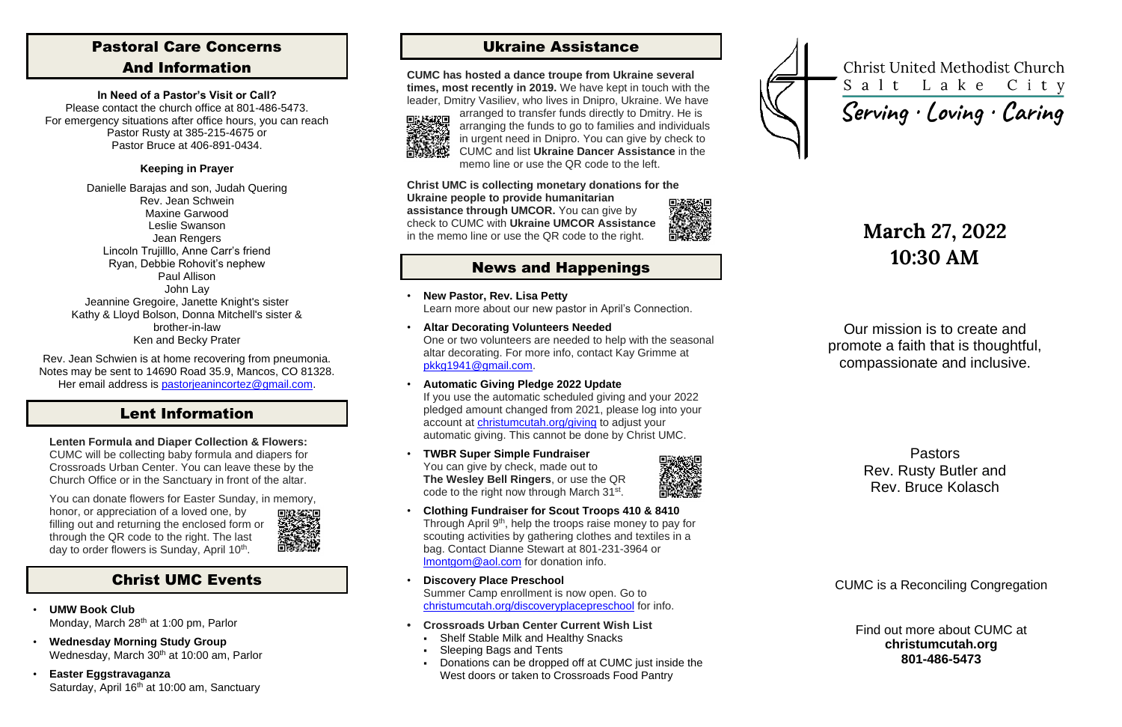# Pastoral Care Concerns And Information

#### **In Need of a Pastor's Visit or Call?**

Please contact the church office at 801-486-5473. For emergency situations after office hours, you can reach Pastor Rusty at 385-215-4675 or Pastor Bruce at 406-891-0434.

### **Keeping in Prayer**

Rev. Jean Schwien is at home recovering from pneumonia. Notes may be sent to 14690 Road 35.9, Mancos, CO 81328. Her email address is [pastorjeanincortez@gmail.com.](mailto:pastorjeanincortez@gmail.com)

Danielle Barajas and son, Judah Quering Rev. Jean Schwein Maxine Garwood Leslie Swanson Jean Rengers Lincoln Trujilllo, Anne Carr's friend Ryan, Debbie Rohovit's nephew Paul Allison John Lay Jeannine Gregoire, Janette Knight's sister Kathy & Lloyd Bolson, Donna Mitchell's sister & brother-in-law Ken and Becky Prater

You can donate flowers for Easter Sunday, in memory, honor, or appreciation of a loved one, by filling out and returning the enclosed form or through the QR code to the right. The last day to order flowers is Sunday, April 10<sup>th</sup>.



- **UMW Book Club** Monday, March 28<sup>th</sup> at 1:00 pm, Parlor
- **Wednesday Morning Study Group** Wednesday, March  $30<sup>th</sup>$  at 10:00 am, Parlor
- **Easter Eggstravaganza** Saturday, April 16<sup>th</sup> at 10:00 am, Sanctuary

# Lent Information

### **Lenten Formula and Diaper Collection & Flowers:**

CUMC will be collecting baby formula and diapers for Crossroads Urban Center. You can leave these by the Church Office or in the Sanctuary in front of the altar.

- **New Pastor, Rev. Lisa Petty** Learn more about our new pastor in April's Connection.
- **Altar Decorating Volunteers Needed** One or two volunteers are needed to help with the seasonal altar decorating. For more info, contact Kay Grimme at [pkkg1941@gmail.com.](mailto:pkkg1941@gmail.com)
- **Automatic Giving Pledge 2022 Update** If you use the automatic scheduled giving and your 2022 pledged amount changed from 2021, please log into your account at [christumcutah.org/giving](file://///CUMC-DC01/data/CUMCData/CommonFolder/Bulletins/2022%20Bulletins/03%20March/christumcutah.org/giving) to adjust your automatic giving. This cannot be done by Christ UMC.
- **TWBR Super Simple Fundraiser** You can give by check, made out to **The Wesley Bell Ringers**, or use the QR code to the right now through March 31<sup>st</sup>.



# Christ UMC Events

# Ukraine Assistance

**CUMC has hosted a dance troupe from Ukraine several times, most recently in 2019.** We have kept in touch with the leader, Dmitry Vasiliev, who lives in Dnipro, Ukraine. We have



arranged to transfer funds directly to Dmitry. He is arranging the funds to go to families and individuals in urgent need in Dnipro. You can give by check to CUMC and list **Ukraine Dancer Assistance** in the memo line or use the QR code to the left.

#### **Christ UMC is collecting monetary donations for the Ukraine people to provide humanitarian**

**assistance through UMCOR.** You can give by check to CUMC with **Ukraine UMCOR Assistance** in the memo line or use the QR code to the right.



# News and Happenings

- **Clothing Fundraiser for Scout Troops 410 & 8410** Through April 9<sup>th</sup>, help the troops raise money to pay for scouting activities by gathering clothes and textiles in a bag. Contact Dianne Stewart at 801-231-3964 or [lmontgom@aol.com](mailto:lmontgom@aol.com) for donation info.
- **Discovery Place Preschool** Summer Camp enrollment is now open. Go to [christumcutah.org/discoveryplacepreschool](file://///CUMC-DC01/data/CUMCData/CommonFolder/Bulletins/2022%20Bulletins/01%20January/christumcutah.org/discoveryplacepreschool) for info.
- **• Crossroads Urban Center Current Wish List**
	- Shelf Stable Milk and Healthy Snacks
	- **Sleeping Bags and Tents**
	- Donations can be dropped off at CUMC just inside the West doors or taken to Crossroads Food Pantry



**Christ United Methodist Church** Salt Lake City

Serving · Loving · Caring

# **March 27, 2022 10:30 AM**

Our mission is to create and promote a faith that is thoughtful, compassionate and inclusive.

> Pastors Rev. Rusty Butler and Rev. Bruce Kolasch

CUMC is a Reconciling Congregation

Find out more about CUMC at **christumcutah.org 801-486-5473**